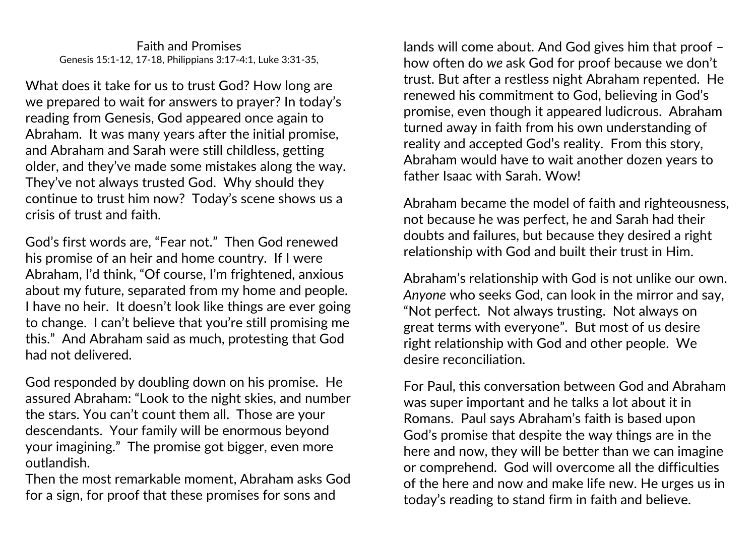What does it take for us to trust God? How long are we prepared to wait for answers to prayer? In today's reading from Genesis, God appeared once again to Abraham. It was many years after the initial promise, and Abraham and Sarah were still childless, getting older, and they've made some mistakes along the way. They've not always trusted God. Why should they continue to trust him now? Today's scene shows us a crisis of trust and faith.

God's first words are, "Fear not." Then God renewed his promise of an heir and home country. If I were Abraham, I'd think, "Of course, I'm frightened, anxious about my future, separated from my home and people. I have no heir. It doesn't look like things are ever going to change. I can't believe that you're still promising me this." And Abraham said as much, protesting that God had not delivered.

God responded by doubling down on his promise. He assured Abraham: "Look to the night skies, and number the stars. You can't count them all. Those are your descendants. Your family will be enormous beyond your imagining." The promise got bigger, even more outlandish.

Then the most remarkable moment, Abraham asks God for a sign, for proof that these promises for sons and

lands will come about. And God gives him that proof – how often do *we* ask God for proof because we don't trust. But after a restless night Abraham repented. He renewed his commitment to God, believing in God's promise, even though it appeared ludicrous. Abraham turned away in faith from his own understanding of reality and accepted God's reality. From this story, Abraham would have to wait another dozen years to father Isaac with Sarah. Wow!

Abraham became the model of faith and righteousness, not because he was perfect, he and Sarah had their doubts and failures, but because they desired a right relationship with God and built their trust in Him.

Abraham's relationship with God is not unlike our own. *Anyone* who seeks God, can look in the mirror and say, "Not perfect. Not always trusting. Not always on great terms with everyone". But most of us desire right relationship with God and other people. We desire reconciliation.

For Paul, this conversation between God and Abraham was super important and he talks a lot about it in Romans. Paul says Abraham's faith is based upon God's promise that despite the way things are in the here and now, they will be better than we can imagine or comprehend. God will overcome all the difficulties of the here and now and make life new. He urges us in today's reading to stand firm in faith and believe.